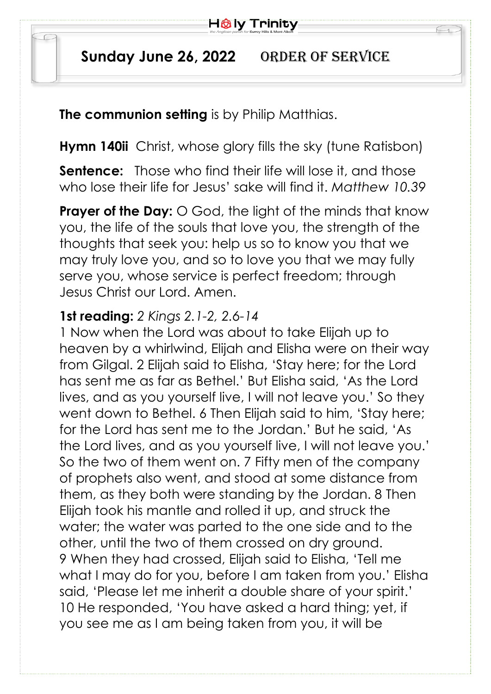

## Sunday June 26, 2022 ORDER OF SERVICE

**The communion setting** is by Philip Matthias.

**Hymn 140ii** Christ, whose glory fills the sky (tune Ratisbon)

**Sentence:** Those who find their life will lose it, and those who lose their life for Jesus' sake will find it. *Matthew 10.39*

**Prayer of the Day:** O God, the light of the minds that know you, the life of the souls that love you, the strength of the thoughts that seek you: help us so to know you that we may truly love you, and so to love you that we may fully serve you, whose service is perfect freedom; through Jesus Christ our Lord. Amen.

## **1st reading:** *2 Kings 2.1-2, 2.6-14*

1 Now when the Lord was about to take Elijah up to heaven by a whirlwind, Elijah and Elisha were on their way from Gilgal. 2 Elijah said to Elisha, 'Stay here; for the Lord has sent me as far as Bethel.' But Elisha said, 'As the Lord lives, and as you yourself live, I will not leave you.' So they went down to Bethel. 6 Then Elijah said to him, 'Stay here; for the Lord has sent me to the Jordan.' But he said, 'As the Lord lives, and as you yourself live, I will not leave you.' So the two of them went on. 7 Fifty men of the company of prophets also went, and stood at some distance from them, as they both were standing by the Jordan. 8 Then Elijah took his mantle and rolled it up, and struck the water; the water was parted to the one side and to the other, until the two of them crossed on dry ground. 9 When they had crossed, Elijah said to Elisha, 'Tell me what I may do for you, before I am taken from you.' Elisha said, 'Please let me inherit a double share of your spirit.' 10 He responded, 'You have asked a hard thing; yet, if you see me as I am being taken from you, it will be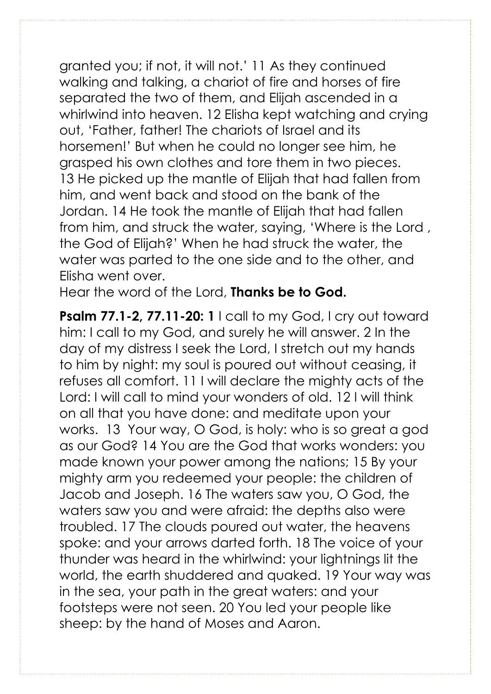granted you; if not, it will not.' 11 As they continued walking and talking, a chariot of fire and horses of fire separated the two of them, and Elijah ascended in a whirlwind into heaven. 12 Elisha kept watching and crying out, 'Father, father! The chariots of Israel and its horsemen!' But when he could no longer see him, he grasped his own clothes and tore them in two pieces. 13 He picked up the mantle of Elijah that had fallen from him, and went back and stood on the bank of the Jordan. 14 He took the mantle of Elijah that had fallen from him, and struck the water, saying, 'Where is the Lord , the God of Elijah?' When he had struck the water, the water was parted to the one side and to the other, and Elisha went over.

Hear the word of the Lord, **Thanks be to God.** 

**Psalm 77.1-2, 77.11-20: 1** | call to my God, I cry out toward him: I call to my God, and surely he will answer. 2 In the day of my distress I seek the Lord, I stretch out my hands to him by night: my soul is poured out without ceasing, it refuses all comfort. 11 I will declare the mighty acts of the Lord: I will call to mind your wonders of old. 12 I will think on all that you have done: and meditate upon your works. 13 Your way, O God, is holy: who is so great a god as our God? 14 You are the God that works wonders: you made known your power among the nations; 15 By your mighty arm you redeemed your people: the children of Jacob and Joseph. 16 The waters saw you, O God, the waters saw you and were afraid: the depths also were troubled. 17 The clouds poured out water, the heavens spoke: and your arrows darted forth. 18 The voice of your thunder was heard in the whirlwind: your lightnings lit the world, the earth shuddered and quaked. 19 Your way was in the sea, your path in the great waters: and your footsteps were not seen. 20 You led your people like sheep: by the hand of Moses and Aaron.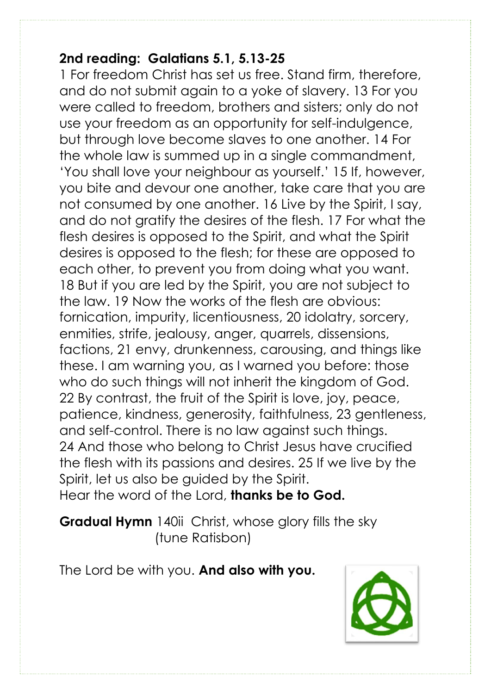## **2nd reading: Galatians 5.1, 5.13-25**

1 For freedom Christ has set us free. Stand firm, therefore, and do not submit again to a yoke of slavery. 13 For you were called to freedom, brothers and sisters; only do not use your freedom as an opportunity for self-indulgence, but through love become slaves to one another. 14 For the whole law is summed up in a single commandment, 'You shall love your neighbour as yourself.' 15 If, however, you bite and devour one another, take care that you are not consumed by one another. 16 Live by the Spirit, I say, and do not gratify the desires of the flesh. 17 For what the flesh desires is opposed to the Spirit, and what the Spirit desires is opposed to the flesh; for these are opposed to each other, to prevent you from doing what you want. 18 But if you are led by the Spirit, you are not subject to the law. 19 Now the works of the flesh are obvious: fornication, impurity, licentiousness, 20 idolatry, sorcery, enmities, strife, jealousy, anger, quarrels, dissensions, factions, 21 envy, drunkenness, carousing, and things like these. I am warning you, as I warned you before: those who do such things will not inherit the kingdom of God. 22 By contrast, the fruit of the Spirit is love, joy, peace, patience, kindness, generosity, faithfulness, 23 gentleness, and self-control. There is no law against such things. 24 And those who belong to Christ Jesus have crucified the flesh with its passions and desires. 25 If we live by the Spirit, let us also be guided by the Spirit. Hear the word of the Lord, **thanks be to God.**

**Gradual Hymn** 140ii Christ, whose glory fills the sky (tune Ratisbon)

The Lord be with you. **And also with you.**